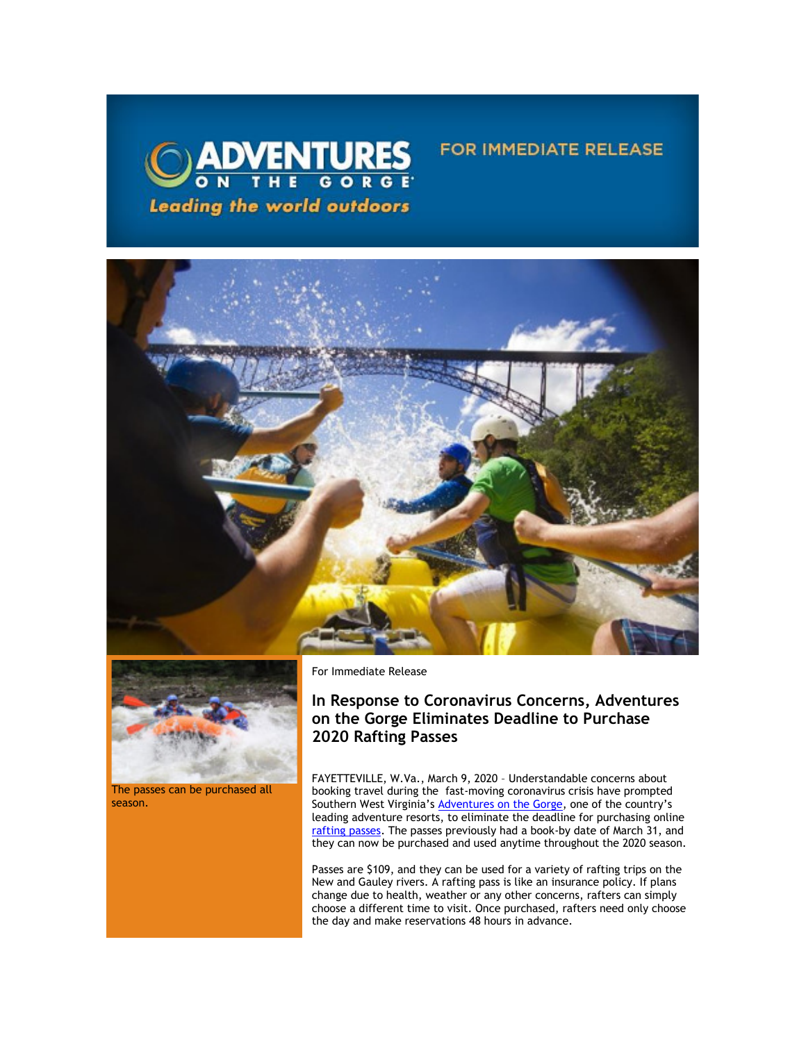



The passes can be purchased all season.

For Immediate Release

# **In Response to Coronavirus Concerns, Adventures on the Gorge Eliminates Deadline to Purchase 2020 Rafting Passes**

**FOR IMMEDIATE RELEASE** 

FAYETTEVILLE, W.Va., March 9, 2020 – Understandable concerns about booking travel during the fast-moving coronavirus crisis have prompted Southern West Virginia's **Adventures on the Gorge**, one of the country's leading adventure resorts, to eliminate the deadline for purchasing online [rafting passes.](https://click.icptrack.com/icp/relay.php?r=13440961&msgid=449319&act=3SPQ&c=1378153&destination=https%3A%2F%2Fadventuresonthegorge.com%2Foffers-and-discounts%2F) The passes previously had a book-by date of March 31, and they can now be purchased and used anytime throughout the 2020 season.

Passes are \$109, and they can be used for a variety of rafting trips on the New and Gauley rivers. A rafting pass is like an insurance policy. If plans change due to health, weather or any other concerns, rafters can simply choose a different time to visit. Once purchased, rafters need only choose the day and make reservations 48 hours in advance.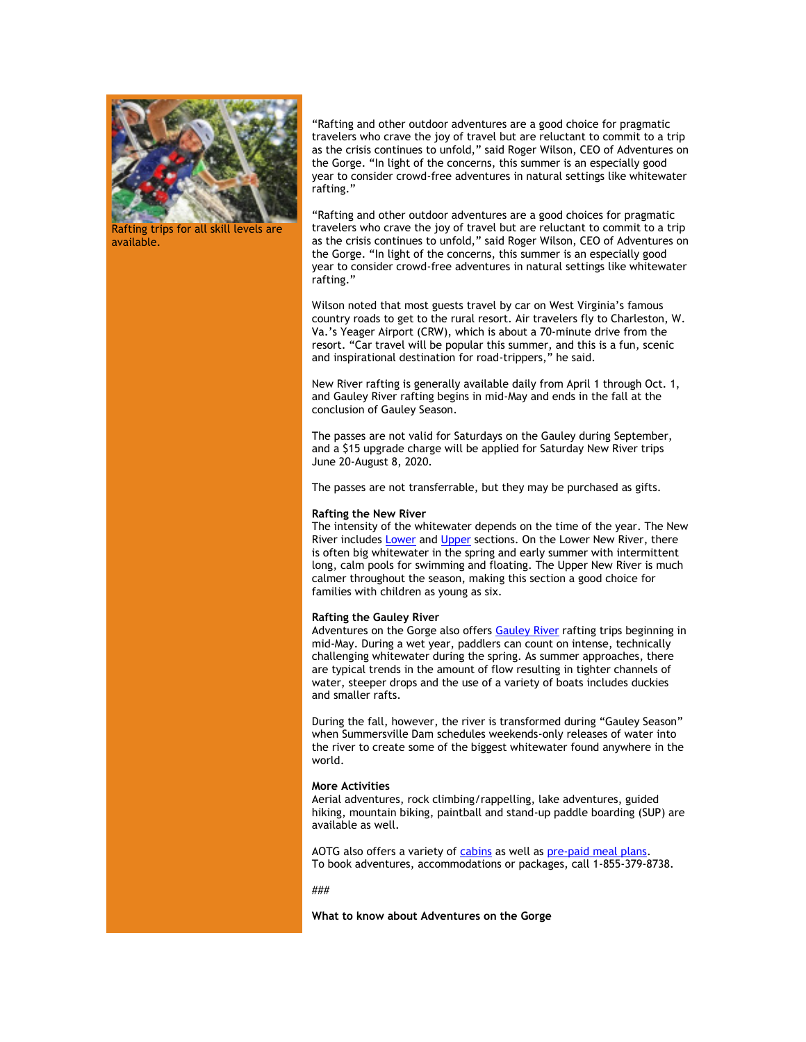

Rafting trips for all skill levels are available.

"Rafting and other outdoor adventures are a good choice for pragmatic travelers who crave the joy of travel but are reluctant to commit to a trip as the crisis continues to unfold," said Roger Wilson, CEO of Adventures on the Gorge. "In light of the concerns, this summer is an especially good year to consider crowd-free adventures in natural settings like whitewater rafting."

"Rafting and other outdoor adventures are a good choices for pragmatic travelers who crave the joy of travel but are reluctant to commit to a trip as the crisis continues to unfold," said Roger Wilson, CEO of Adventures on the Gorge. "In light of the concerns, this summer is an especially good year to consider crowd-free adventures in natural settings like whitewater rafting."

Wilson noted that most guests travel by car on West Virginia's famous country roads to get to the rural resort. Air travelers fly to Charleston, W. Va.'s Yeager Airport (CRW), which is about a 70-minute drive from the resort. "Car travel will be popular this summer, and this is a fun, scenic and inspirational destination for road-trippers," he said.

New River rafting is generally available daily from April 1 through Oct. 1, and Gauley River rafting begins in mid-May and ends in the fall at the conclusion of Gauley Season.

The passes are not valid for Saturdays on the Gauley during September, and a \$15 upgrade charge will be applied for Saturday New River trips June 20-August 8, 2020.

The passes are not transferrable, but they may be purchased as gifts.

### **Rafting the New River**

The intensity of the whitewater depends on the time of the year. The New River includes [Lower](https://click.icptrack.com/icp/relay.php?r=13440961&msgid=449319&act=3SPQ&c=1378153&destination=https%3A%2F%2Fwww.adventuresonthegorge.com%2Fadventures%2Fwhitewater-rafting%2Flower-new-river-white-water-rafting) and [Upper](https://click.icptrack.com/icp/relay.php?r=13440961&msgid=449319&act=3SPQ&c=1378153&destination=https%3A%2F%2Fwww.adventuresonthegorge.com%2Fadventures%2Fwhitewater-rafting%2Fupper-new-river-white-water-rafting) sections. On the Lower New River, there is often big whitewater in the spring and early summer with intermittent long, calm pools for swimming and floating. The Upper New River is much calmer throughout the season, making this section a good choice for families with children as young as six.

### **Rafting the Gauley River**

Adventures on the Gorge also offers **Gauley River** rafting trips beginning in mid-May. During a wet year, paddlers can count on intense, technically challenging whitewater during the spring. As summer approaches, there are typical trends in the amount of flow resulting in tighter channels of water, steeper drops and the use of a variety of boats includes duckies and smaller rafts.

During the fall, however, the river is transformed during "Gauley Season" when Summersville Dam schedules weekends-only releases of water into the river to create some of the biggest whitewater found anywhere in the world.

## **More Activities**

Aerial adventures, rock climbing/rappelling, lake adventures, guided hiking, mountain biking, paintball and stand-up paddle boarding (SUP) are available as well.

AOTG also offers a variety o[f cabins](https://click.icptrack.com/icp/relay.php?r=13440961&msgid=449319&act=3SPQ&c=1378153&destination=https%3A%2F%2Fadventuresonthegorge.com%2Flodging%2F) as well a[s pre-paid meal plans.](https://click.icptrack.com/icp/relay.php?r=13440961&msgid=449319&act=3SPQ&c=1378153&destination=https%3A%2F%2Fadventuresonthegorge.com%2Foffers-and-discounts%2F) To book adventures, accommodations or packages, call 1-855-379-8738.

###

**What to know about Adventures on the Gorge**